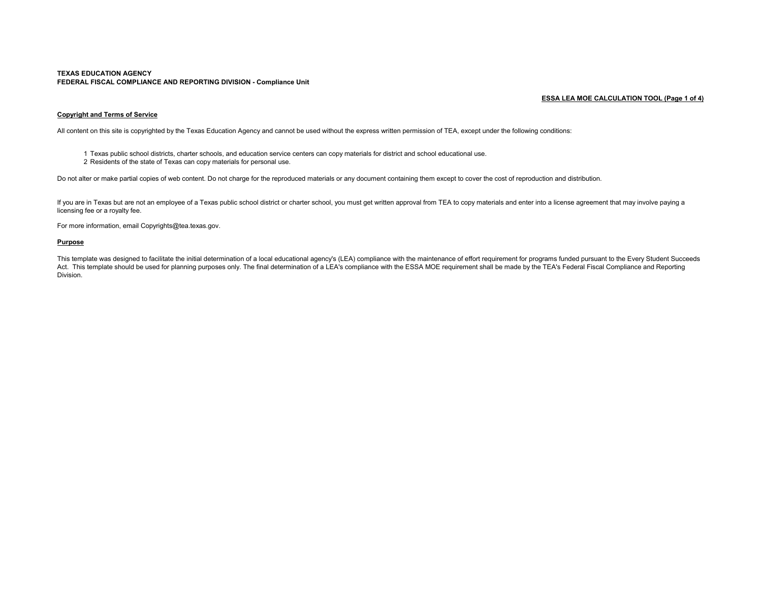#### **TEXAS EDUCATION AGENCY FEDERAL FISCAL COMPLIANCE AND REPORTING DIVISION - Compliance Unit**

## **ESSA LEA MOE CALCULATION TOOL (Page 1 of 4)**

# **Copyright and Terms of Service**

All content on this site is copyrighted by the Texas Education Agency and cannot be used without the express written permission of TEA, except under the following conditions:

- 1 Texas public school districts, charter schools, and education service centers can copy materials for district and school educational use.
- 2 Residents of the state of Texas can copy materials for personal use.

Do not alter or make partial copies of web content. Do not charge for the reproduced materials or any document containing them except to cover the cost of reproduction and distribution.

If you are in Texas but are not an employee of a Texas public school district or charter school, you must get written approval from TEA to copy materials and enter into a license agreement that may involve paying a licensing fee or a royalty fee.

For more information, email Copyrights@tea.texas.gov.

#### **Purpose**

This template was designed to facilitate the initial determination of a local educational agency's (LEA) compliance with the maintenance of effort requirement for programs funded pursuant to the Every Student Succeeds Act. This template should be used for planning purposes only. The final determination of a LEA's compliance with the ESSA MOE requirement shall be made by the TEA's Federal Fiscal Compliance and Reporting Division.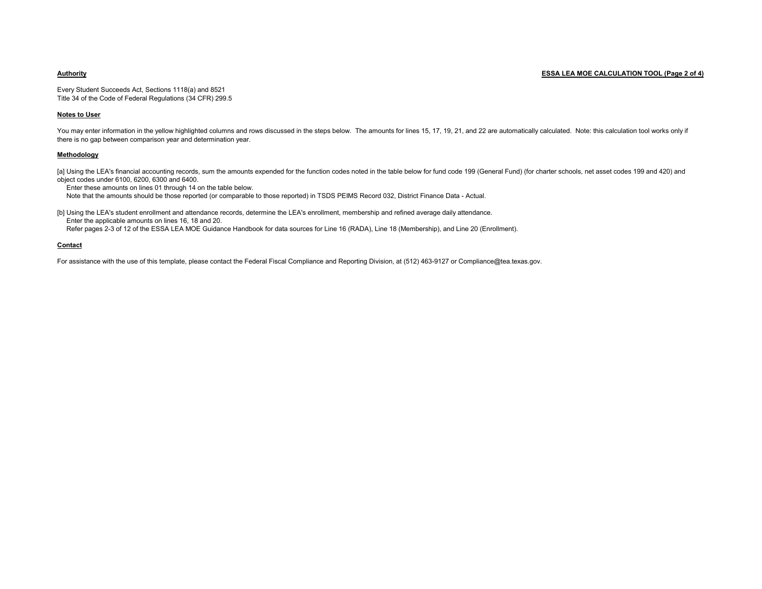## **Authority ESSA LEA MOE CALCULATION TOOL (Page 2 of 4)**

Every Student Succeeds Act, Sections 1118(a) and 8521 Title 34 of the Code of Federal Regulations (34 CFR) 299.5

#### **Notes to User**

You may enter information in the yellow highlighted columns and rows discussed in the steps below. The amounts for lines 15, 17, 19, 21, and 22 are automatically calculated. Note: this calculation tool works only if there is no gap between comparison year and determination year.

#### **Methodology**

[a] Using the LEA's financial accounting records, sum the amounts expended for the function codes noted in the table below for fund code 199 (General Fund) (for charter schools, net asset codes 199 and 420) and object codes under 6100, 6200, 6300 and 6400.

Enter these amounts on lines 01 through 14 on the table below.

Note that the amounts should be those reported (or comparable to those reported) in TSDS PEIMS Record 032, District Finance Data - Actual.

[b] Using the LEA's student enrollment and attendance records, determine the LEA's enrollment, membership and refined average daily attendance. Enter the applicable amounts on lines 16, 18 and 20.

Refer pages 2-3 of 12 of the ESSA LEA MOE Guidance Handbook for data sources for Line 16 (RADA), Line 18 (Membership), and Line 20 (Enrollment).

### **Contact**

For assistance with the use of this template, please contact the Federal Fiscal Compliance and Reporting Division, at (512) 463-9127 or Compliance@tea.texas.gov.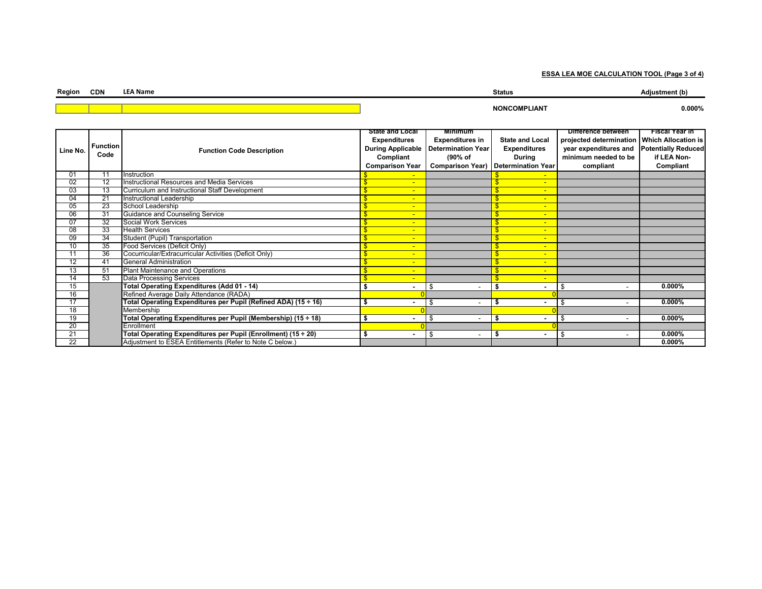**ESSA LEA MOE CALCULATION TOOL (Page 3 of 4)**

| Region | <b>CDN</b> | <b>LEA Name</b> | <b>Status</b> |        |
|--------|------------|-----------------|---------------|--------|
|        |            |                 | _IAN'         | 0.000% |

|          |                         |                                                                | State and Local          | Minimum                   |                                  | <b>Difference between</b>                     | Fiscal Year in |
|----------|-------------------------|----------------------------------------------------------------|--------------------------|---------------------------|----------------------------------|-----------------------------------------------|----------------|
| Line No. | <b>Function</b><br>Code | <b>Function Code Description</b>                               | <b>Expenditures</b>      | <b>Expenditures in</b>    | <b>State and Local</b>           | projected determination   Which Allocation is |                |
|          |                         |                                                                | <b>During Applicable</b> | <b>Determination Year</b> | <b>Expenditures</b>              | year expenditures and Potentially Reduced     |                |
|          |                         |                                                                | Compliant                | (90% of                   | During                           | minimum needed to be                          | if LEA Non-    |
|          |                         |                                                                | <b>Comparison Year</b>   | <b>Comparison Year)</b>   | <b>Determination Year</b>        | compliant                                     | Compliant      |
| 01       | 11                      | Instruction                                                    | $\sim$                   |                           |                                  |                                               |                |
| 02       | 12                      | Instructional Resources and Media Services                     | $\overline{\phantom{a}}$ |                           | $\overline{\phantom{a}}$         |                                               |                |
| 03       | 13                      | Curriculum and Instructional Staff Development                 | $\overline{\phantom{a}}$ |                           | $\overline{\phantom{a}}$         |                                               |                |
| 04       | 21                      | Instructional Leadership                                       | $\blacksquare$           |                           | $\overline{\phantom{a}}$         |                                               |                |
| 05       | 23                      | School Leadership                                              | $\overline{\phantom{a}}$ |                           | $\overline{\phantom{a}}$         |                                               |                |
| 06       | 31                      | Guidance and Counseling Service                                | $\overline{\phantom{a}}$ |                           | ٠                                |                                               |                |
| 07       | 32                      | Social Work Services                                           | $\blacksquare$           |                           | $\overline{\phantom{0}}$         |                                               |                |
| 08       | 33                      | <b>Health Services</b>                                         | $\overline{\phantom{a}}$ |                           | $\overline{\phantom{a}}$         |                                               |                |
| 09       | 34                      | Student (Pupil) Transportation                                 | $\blacksquare$           |                           | $\overline{\phantom{a}}$         |                                               |                |
| 10       | 35                      | Food Services (Deficit Only)                                   | $\overline{\phantom{a}}$ |                           | $\overline{\phantom{0}}$         |                                               |                |
| 11       | 36                      | Cocurricular/Extracurricular Activities (Deficit Only)         | $\blacksquare$           |                           | $\overline{\phantom{a}}$         |                                               |                |
| 12       | 41                      | <b>General Administration</b>                                  | $\blacksquare$           |                           | $\overline{\phantom{a}}$         |                                               |                |
| 13       | 51                      | Plant Maintenance and Operations                               | $\overline{\phantom{a}}$ |                           | $\overline{\phantom{a}}$         |                                               |                |
| 14       | 53                      | Data Processing Services                                       | $\overline{\phantom{a}}$ |                           | $\overline{\phantom{a}}$         |                                               |                |
| 15       |                         | Total Operating Expenditures (Add 01 - 14)                     |                          | \$                        |                                  | £<br>۰                                        | $0.000\%$      |
| 16       |                         | Refined Average Daily Attendance (RADA)                        |                          |                           |                                  |                                               |                |
| 17       |                         | Total Operating Expenditures per Pupil (Refined ADA) (15 ÷ 16) | ٠                        | \$                        | - \$                             | \$                                            | $0.000\%$      |
| 18       |                         | Membership                                                     |                          |                           |                                  |                                               |                |
| 19       |                         | Total Operating Expenditures per Pupil (Membership) (15 ÷ 18)  | \$<br>٠                  | \$                        | -\$                              | -\$<br>-                                      | $0.000\%$      |
| 20       |                         | Enrollment                                                     |                          |                           |                                  |                                               |                |
| 21       |                         | Total Operating Expenditures per Pupil (Enrollment) (15 ÷ 20)  | ۰                        | \$                        | - \$<br>$\overline{\phantom{a}}$ | -\$                                           | $0.000\%$      |
| 22       |                         | Adjustment to ESEA Entitlements (Refer to Note C below.)       |                          |                           |                                  |                                               | $0.000\%$      |